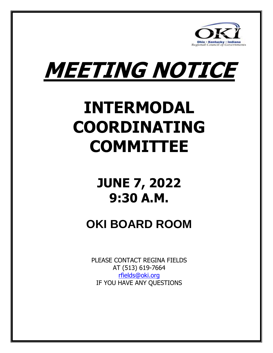



### **INTERMODAL COORDINATING COMMITTEE**

### **JUNE 7, 2022 9:30 A.M.**

### **OKI BOARD ROOM**

PLEASE CONTACT REGINA FIELDS AT (513) 619-7664 [rfields@oki.org](mailto:rfields@oki.org) IF YOU HAVE ANY QUESTIONS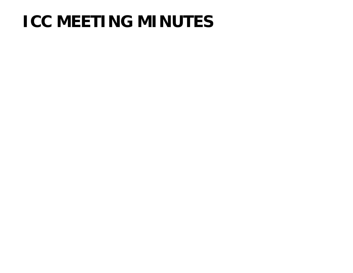### **ICC MEETING MINUTES**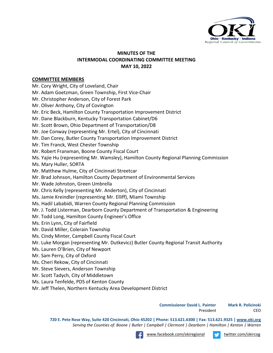

#### **MINUTES OF THE INTERMODAL COORDINATING COMMITTEE MEETING MAY 10, 2022**

#### **COMMITTEE MEMBERS**

Mr. Cory Wright, City of Loveland, Chair

Mr. Adam Goetzman, Green Township, First Vice-Chair

Mr. Christopher Anderson, City of Forest Park

Mr. Oliver Anthony, City of Covington

Mr. Eric Beck, Hamilton County Transportation Improvement District

Mr. Dane Blackburn, Kentucky Transportation Cabinet/D6

Mr. Scott Brown, Ohio Department of Transportation/D8

Mr. Joe Conway (representing Mr. Ertel), City of Cincinnati

Mr. Dan Corey, Butler County Transportation Improvement District

Mr. Tim Franck, West Chester Township

Mr. Robert Franxman, Boone County Fiscal Court

Ms. Yajie Hu (representing Mr. Wamsley), Hamilton County Regional Planning Commission

Ms. Mary Huller, SORTA

Mr. Matthew Hulme, City of Cincinnati Streetcar

Mr. Brad Johnson, Hamilton County Department of Environmental Services

Mr. Wade Johnston, Green Umbrella

Mr. Chris Kelly (representing Mr. Anderton), City of Cincinnati

Ms. Jamie Kreindler (representing Mr. Elliff), Miami Township

Ms. Hadil Lababidi, Warren County Regional Planning Commission

Mr. J. Todd Listerman, Dearborn County Department of Transportation & Engineering

Mr. Todd Long, Hamilton County Engineer's Office

Ms. Erin Lynn, City of Fairfield

Mr. David Miller, Colerain Township

Ms. Cindy Minter, Campbell County Fiscal Court

Mr. Luke Morgan (representing Mr. Dutkevicz) Butler County Regional Transit Authority

Ms. Lauren O'Brien, City of Newport

Mr. Sam Perry, City of Oxford

Ms. Cheri Rekow, City of Cincinnati

Mr. Steve Sievers, Anderson Township

Mr. Scott Tadych, City of Middletown

Ms. Laura Tenfelde, PDS of Kenton County

Mr. Jeff Thelen, Northern Kentucky Area Development District

**Commissioner David L. Painter Mark R. Policinski**

President CEO

**720 E. Pete Rose Way, Suite 420 Cincinnati, Ohio 45202 | Phone: 513.621.6300 | Fax: 513.621.9325 [| www.oki.org](http://www.oki.org/)** *Serving the Counties of: Boone | Butler | Campbell | Clermont | Dearborn | Hamilton | Kenton | Warren*

[www.facebook.com/okiregional](file://okiad4/groups/Communication/Branding/www.facebook.com/okiregional) view twitter.com/okircog



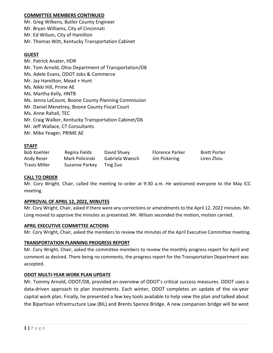#### **COMMITTEE MEMBERS CONTINUED**

Mr. Greg Wilkens, Butler County Engineer Mr. Bryan Williams, City of Cincinnati Mr. Ed Wilson, City of Hamilton Mr. Thomas Witt, Kentucky Transportation Cabinet

#### **GUEST**

Mr. Patrick Anater, HDR Mr. Tom Arnold, Ohio Department of Transportation/D8 Ms. Adele Evans, ODOT Jobs & Commerce Mr. Jay Hamilton, Mead + Hunt Ms. Nikki Hill, Prime AE Ms. Martha Kelly, HNTB Ms. Jenna LeCount, Boone County Planning Commission Mr. Daniel Menetrey, Boone County Fiscal Court Ms. Anne Rahall, TEC Mr. Craig Walker, Kentucky Transportation Cabinet/D6 Mr. Jeff Wallace, CT Consultants Mr. Mike Yeager, PRIME AE

#### **STAFF**

| <b>Bob Koehler</b>   | Regina Fields   | David Shuey     | <b>Florence Parker</b> | <b>Brett Porter</b> |
|----------------------|-----------------|-----------------|------------------------|---------------------|
| Andy Reser           | Mark Policinski | Gabriela Waesch | Jim Pickering          | Liren Zhou          |
| <b>Travis Miller</b> | Suzanne Parkey  | Ting Zuo        |                        |                     |

#### **CALL TO ORDER**

Mr. Cory Wright, Chair, called the meeting to order at 9:30 a.m. He welcomed everyone to the May ICC meeting.

#### **APPROVAL OF APRIL 12, 2022, MINUTES**

Mr. Cory Wright, Chair, asked if there were any corrections or amendments to the April 12, 2022 minutes. Mr. Long moved to approve the minutes as presented. Mr. Wilson seconded the motion, motion carried.

#### **APRIL EXECUTIVE COMMITTEE ACTIONS**

Mr. Cory Wright, Chair, asked the members to review the minutes of the April Executive Committee meeting.

#### **TRANSPORTATION PLANNING PROGRESS REPORT**

Mr. Cory Wright, Chair, asked the committee members to review the monthly progress report for April and comment as desired. There being no comments, the progress report for the Transportation Department was accepted.

#### **ODOT MULTI-YEAR WORK PLAN UPDATE**

Mr. Tommy Arnold, ODOT/D8, provided an overview of ODOT's critical success measures. ODOT uses a data-driven approach to plan investments. Each winter, ODOT completes an update of the six-year capital work plan. Finally, he presented a few key tools available to help view the plan and talked about the Bipartisan Infrastructure Law (BIL) and Brents Spence Bridge. A new companion bridge will be west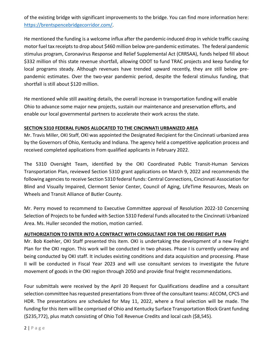of the existing bridge with significant improvements to the bridge. You can find more information here: [https://brentspencebridgecorridor.com/.](https://brentspencebridgecorridor.com/)

He mentioned the funding is a welcome influx after the pandemic-induced drop in vehicle traffic causing motor fuel tax receipts to drop about \$460 million below pre-pandemic estimates.The federal pandemic stimulus program, Coronavirus Response and Relief Supplemental Act (CRRSAA), funds helped fill about \$332 million of this state revenue shortfall, allowing ODOT to fund TRAC projects and keep funding for local programs steady. Although revenues have trended upward recently, they are still below prepandemic estimates. Over the two-year pandemic period, despite the federal stimulus funding, that shortfall is still about \$120 million.

He mentioned while still awaiting details, the overall increase in transportation funding will enable Ohio to advance some major new projects, sustain our maintenance and preservation efforts, and enable our local governmental partners to accelerate their work across the state.

#### **SECTION 5310 FEDERAL FUNDS ALLOCATED TO THE CINCINNATI URBANIZED AREA**

Mr. Travis Miller, OKI Staff, OKI was appointed the Designated Recipient for the Cincinnati urbanized area by the Governors of Ohio, Kentucky and Indiana. The agency held a competitive application process and received completed applications from qualified applicants in February 2022.

The 5310 Oversight Team, identified by the OKI Coordinated Public Transit-Human Services Transportation Plan, reviewed Section 5310 grant applications on March 9, 2022 and recommends the following agencies to receive Section 5310 federal funds: Central Connections, Cincinnati Association for Blind and Visually Impaired, Clermont Senior Center, Council of Aging, LifeTime Resources, Meals on Wheels and Transit Alliance of Butler County.

Mr. Perry moved to recommend to Executive Committee approval of Resolution 2022-10 Concerning Selection of Projects to be funded with Section 5310 Federal Funds allocated to the Cincinnati Urbanized Area. Ms. Huller seconded the motion, motion carried.

#### **AUTHORIZATION TO ENTER INTO A CONTRACT WITH CONSULTANT FOR THE OKI FREIGHT PLAN**

Mr. Bob Koehler, OKI Staff presented this item. OKI is undertaking the development of a new Freight Plan for the OKI region. This work will be conducted in two phases. Phase I is currently underway and being conducted by OKI staff. It includes existing conditions and data acquisition and processing. Phase II will be conducted in Fiscal Year 2023 and will use consultant services to investigate the future movement of goods in the OKI region through 2050 and provide final freight recommendations.

Four submittals were received by the April 20 Request for Qualifications deadline and a consultant selection committee has requested presentations from three of the consultant teams: AECOM, CPCS and HDR. The presentations are scheduled for May 11, 2022, where a final selection will be made. The funding for this item will be comprised of Ohio and Kentucky Surface Transportation Block Grant funding (\$235,772), plus match consisting of Ohio Toll Revenue Credits and local cash (\$8,545).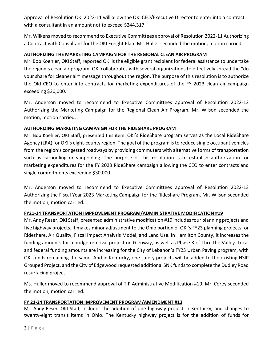Approval of Resolution OKI 2022-11 will allow the OKI CEO/Executive Director to enter into a contract with a consultant in an amount not to exceed \$244,317.

Mr. Wilkens moved to recommend to Executive Committees approval of Resolution 2022-11 Authorizing a Contract with Consultant for the OKI Freight Plan. Ms. Huller seconded the motion, motion carried.

#### **AUTHORIZING THE MARKETING CAMPAIGN FOR THE REGIONAL CLEAN AIR PROGRAM**

Mr. Bob Koehler, OKI Staff, reported OKI is the eligible grant recipient for federal assistance to undertake the region's clean air program. OKI collaborates with several organizations to effectively spread the "do your share for cleaner air" message throughout the region. The purpose of this resolution is to authorize the OKI CEO to enter into contracts for marketing expenditures of the FY 2023 clean air campaign exceeding \$30,000.

Mr. Anderson moved to recommend to Executive Committees approval of Resolution 2022-12 Authorizing the Marketing Campaign for the Regional Clean Air Program. Mr. Wilson seconded the motion, motion carried.

#### **AUTHORIZING MARKETING CAMPAIGN FOR THE RIDESHARE PROGRAM**

Mr. Bob Koehler, OKI Staff, presented this item. OKI's RideShare program serves as the Local RideShare Agency (LRA) for OKI's eight-county region. The goal of the program is to reduce single occupant vehicles from the region's congested roadways by providing commuters with alternative forms of transportation such as carpooling or vanpooling. The purpose of this resolution is to establish authorization for marketing expenditures for the FY 2023 RideShare campaign allowing the CEO to enter contracts and single commitments exceeding \$30,000.

Mr. Anderson moved to recommend to Executive Committees approval of Resolution 2022-13 Authorizing the Fiscal Year 2023 Marketing Campaign for the Rideshare Program. Mr. Wilson seconded the motion, motion carried.

#### **FY21-24 TRANSPORTATION IMPROVEMENT PROGRAM/ADMINISTRATIVE MODIFICATION #19**

Mr. Andy Reser, OKI Staff, presented administrative modification #19 includes four planning projects and five highway projects. It makes minor adjustment to the Ohio portion of OKI's FY23 planning projects for Rideshare, Air Quality, Fiscal Impact Analysis Model, and Land Use. In Hamilton County, it increases the funding amounts for a bridge removal project on Glenway, as well as Phase 3 of Thru the Valley. Local and federal funding amounts are increasing for the City of Lebanon's FY23 Urban Paving program, with OKI funds remaining the same. And in Kentucky, one safety projects will be added to the existing HSIP Grouped Project, and the City of Edgewood requested additional SNK funds to complete the Dudley Road resurfacing project.

Ms. Huller moved to recommend approval of TIP Administrative Modification #19. Mr. Corey seconded the motion, motion carried.

#### **FY 21-24 TRANSPORTATION IMPROVEMENT PROGRAM/AMENDMENT #13**

Mr. Andy Reser, OKI Staff, includes the addition of one highway project in Kentucky, and changes to twenty-eight transit items in Ohio. The Kentucky highway project is for the addition of funds for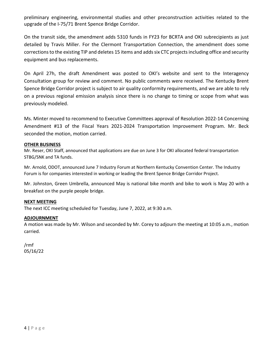preliminary engineering, environmental studies and other preconstruction activities related to the upgrade of the I-75/71 Brent Spence Bridge Corridor.

On the transit side, the amendment adds 5310 funds in FY23 for BCRTA and OKI subrecipients as just detailed by Travis Miller. For the Clermont Transportation Connection, the amendment does some corrections to the existing TIP and deletes 15 items and adds six CTC projects including office and security equipment and bus replacements.

On April 27h, the draft Amendment was posted to OKI's website and sent to the Interagency Consultation group for review and comment. No public comments were received. The Kentucky Brent Spence Bridge Corridor project is subject to air quality conformity requirements, and we are able to rely on a previous regional emission analysis since there is no change to timing or scope from what was previously modeled.

Ms. Minter moved to recommend to Executive Committees approval of Resolution 2022-14 Concerning Amendment #13 of the Fiscal Years 2021-2024 Transportation Improvement Program. Mr. Beck seconded the motion, motion carried.

#### **OTHER BUSINESS**

Mr. Reser, OKI Staff, announced that applications are due on June 3 for OKI allocated federal transportation STBG/SNK and TA funds.

Mr. Arnold, ODOT, announced June 7 Industry Forum at Northern Kentucky Convention Center. The Industry Forum is for companies interested in working or leading the Brent Spence Bridge Corridor Project.

Mr. Johnston, Green Umbrella, announced May is national bike month and bike to work is May 20 with a breakfast on the purple people bridge.

#### **NEXT MEETING**

The next ICC meeting scheduled for Tuesday, June 7, 2022, at 9:30 a.m.

#### **ADJOURNMENT**

A motion was made by Mr. Wilson and seconded by Mr. Corey to adjourn the meeting at 10:05 a.m., motion carried.

/rmf 05/16/22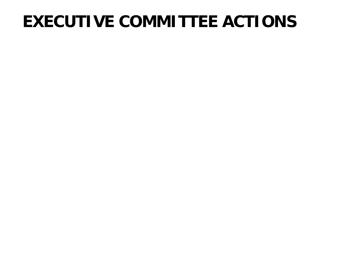| <b>Intermodal Coordinating Comm</b>                           | 09/07/2021 10/12/2021 11/09/2021 01/11/2022 02/08/2022 03/08/2022 04/12/2022 05/10/2022 |   |   |   |   |   |   |   |  |  |  |
|---------------------------------------------------------------|-----------------------------------------------------------------------------------------|---|---|---|---|---|---|---|--|--|--|
| Jackie Alf<br>John R. Jurgensen Co.                           |                                                                                         |   | Y | Y |   |   |   |   |  |  |  |
| Christopher Anderson<br>City of Forest Park                   |                                                                                         | Y | Y | Y | Y | Y |   | Y |  |  |  |
| <b>Fred Anderton</b><br>City of Cincinnati                    |                                                                                         | R | R |   |   |   | R | R |  |  |  |
| <b>Oliver Anthony</b><br>City of Covington                    |                                                                                         |   | Y | Y | Y | Y | Y | Y |  |  |  |
| Eric Beck, PE<br>Hamilton County Engineer's Off               | Y                                                                                       | R | Y | Y | Y | Y | Y | Y |  |  |  |
| Dane Blackburn<br>KYTC/D6                                     | Y                                                                                       | Y | Y | Y | Y | Y |   | Y |  |  |  |
| Scott Brown<br>ODOT-District 8                                | Y                                                                                       | Y | Y | Y | Y | Y | Y | Y |  |  |  |
| Frank Busofsky<br><b>TANK</b>                                 | Y                                                                                       | Y |   | Y | Y | Y | Y | E |  |  |  |
| Kevin Chesar<br>City of Monroe                                |                                                                                         |   |   |   |   |   |   |   |  |  |  |
| <b>Taylor Corbett</b><br><b>Clermont County Planning Comm</b> |                                                                                         |   |   |   | Y |   | Y |   |  |  |  |
| Daniel Corey, P.E., S.I.<br><b>Butler County County TID</b>   | Y                                                                                       | Y | Y | Y | Y | Y | Y | Y |  |  |  |
| Kevin Costello, AICP<br>Boone County Planning Commissi        |                                                                                         | Y | Y |   |   | Y | Y |   |  |  |  |
| Nick Dill<br>City of Fairfield                                | Y                                                                                       |   | Y | Y |   | Y |   |   |  |  |  |
| <b>Bernadette Dupont</b><br>FHWA Kentucky Division            |                                                                                         |   |   |   |   |   |   |   |  |  |  |
| Matthew Dutkevicz<br><b>Butler County RTA</b>                 | R                                                                                       | R | R |   |   | R | R | R |  |  |  |
| <b>Brian Elliff</b><br>Miami Township                         |                                                                                         | R |   | R | Y | R | Y | R |  |  |  |
| Chris Ertel<br>City of Cincinnati                             | Y                                                                                       | Y | R | Y | Y | R | R | R |  |  |  |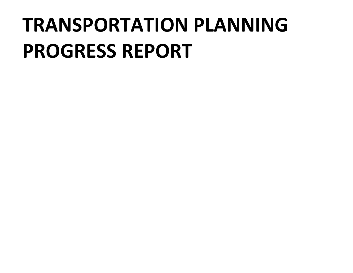| <b>Intermodal Coordinating Comm</b>                               |   |   |   |   |   |   |   | 09/07/2021 10/12/2021 11/09/2021 01/11/2022 02/08/2022 03/08/2022 04/12/2022 05/10/2022 |  |  |
|-------------------------------------------------------------------|---|---|---|---|---|---|---|-----------------------------------------------------------------------------------------|--|--|
| Jeremy Evans, P.E., P.S.<br><b>Clermont County Engineers Offi</b> |   |   |   |   |   |   |   |                                                                                         |  |  |
| David C. Fehr<br><b>Butler County Planning Commiss</b>            |   |   |   |   |   |   |   |                                                                                         |  |  |
| <b>Tim Franck</b><br>West Chester Township                        | Y | Y | Y | Y | Y |   | Y | Y                                                                                       |  |  |
| Rob Franxman<br>Engineer/Public work                              | Y | R | R | R | R | Y | R | Y                                                                                       |  |  |
| Adam Goetzman<br>Green Township                                   | Y | Y | Y | R | Y | Y | Y | Y                                                                                       |  |  |
| Eric Hall<br>City of Florence                                     | Y |   |   | Y |   | Y |   |                                                                                         |  |  |
| Nick Hendrix<br>Kenton County                                     | Y | R |   | R |   |   |   |                                                                                         |  |  |
| <b>Mary Huller</b><br><b>SORTA</b>                                | Y | R | Y | Y | Y | Y | Y | Y                                                                                       |  |  |
| Matthew Hulme<br>City of Cincinnati Streetcar                     |   |   |   |   |   | Y | R | Y                                                                                       |  |  |
| <b>Brad Johnson</b><br>Hamilton County DOES                       | Y | Y |   | Y | Y | Y |   | Y                                                                                       |  |  |
| Wade Johnston<br>Green Umbrella                                   | Y | Y | Y | Y | Y | Y | Y | Y                                                                                       |  |  |
| Jonathan Katz<br>Cincinnati Cycle Club                            |   |   |   |   |   | Y |   |                                                                                         |  |  |
| Hadil Lababidi<br>Warren County Regional Plannin                  | Y | Y | Y | Y | Y | Y | Y | Y                                                                                       |  |  |
| Robert Leichman<br>City of Trenton                                |   |   |   |   |   |   |   |                                                                                         |  |  |
| J. Todd Listerman, PE<br>Dearborn County                          | E | E | Y | Y | Y | Y | Y | Y                                                                                       |  |  |
| Todd Long, PE<br>Hamilton County Engineer's Off                   |   |   |   | R | Y | R |   | Y                                                                                       |  |  |
| Erin Lynn<br>City of Fairfield                                    |   |   | Y |   |   | Y |   | Y                                                                                       |  |  |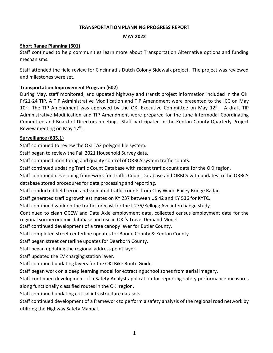| <b>Intermodal Coordinating Comm</b>                      |   |   |   |   |   |   |   | 09/07/2021 10/12/2021 11/09/2021 01/11/2022 02/08/2022 03/08/2022 04/12/2022 05/10/2022 |  |  |
|----------------------------------------------------------|---|---|---|---|---|---|---|-----------------------------------------------------------------------------------------|--|--|
| Luke Mantle<br><b>Campbell County Fiscal Court</b>       |   |   |   |   |   |   |   |                                                                                         |  |  |
| Susanne Mason<br>Warren Grants Administration            |   |   |   |   |   |   |   |                                                                                         |  |  |
| J. Allen Messer<br>City of Hamilton                      | Y | Y | Y | Y | Y | Y |   |                                                                                         |  |  |
| Jason Millard<br>City of Lebanon                         |   | Y |   | Y | Y | Y | R |                                                                                         |  |  |
| David Miller-Colerain<br>Colerain Township               |   |   |   | R | Y | Y | Y | Y                                                                                       |  |  |
| <b>Steven Minor</b><br>FHWA-IN                           |   |   |   |   |   |   |   |                                                                                         |  |  |
| <b>Cindy Minter</b><br><b>Campbell County</b>            |   |   |   |   |   |   |   | Y                                                                                       |  |  |
| <b>Christine Moran</b><br>League of Women Voters         | Y | Y | Y |   |   |   |   |                                                                                         |  |  |
| <b>Emmanuel Nsonwu</b><br>Indiana Department of Transpor |   |   |   |   |   |   |   |                                                                                         |  |  |
| Lauren O'Brien<br>City of Newport                        |   |   |   |   |   |   | Y | Y                                                                                       |  |  |
| Sam Perry<br>City of Oxford                              | R | R | Y | Y | Y | R |   | Y                                                                                       |  |  |
| Cheri Rekow<br>City of Cincinnati                        | E | Y | Y | Y | Y | Y |   | Y                                                                                       |  |  |
| Kelly Schwegman<br>N. Kentucky Health Dept.              | E |   |   |   |   |   |   |                                                                                         |  |  |
| <b>Steve Sievers</b><br>Anderson Township                | Y | R | Y | R | Y | Y |   | Y                                                                                       |  |  |
| Keith Smith<br>ODOT-District 8                           |   |   |   |   |   |   |   |                                                                                         |  |  |
| Scott Tadych<br>City of Middletown                       |   |   |   | Y |   |   | Y | Y                                                                                       |  |  |
| Laura Tenfelde, PE<br>PDS Kenton County                  | Y | Y | Y | Y | Y | Y |   | Y                                                                                       |  |  |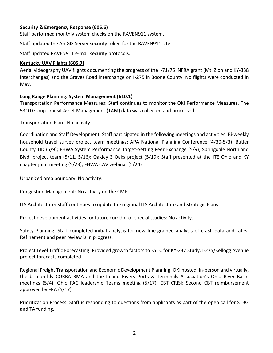#### 05/10/2022 14:45:18 4

| <b>Intermodal Coordinating Comm</b>                             |   |   |             |              |   |             | 09/07/2021 10/12/2021 11/09/2021 01/11/2022 02/08/2022 03/08/2022 04/12/2022 05/10/2022 |   |  |  |
|-----------------------------------------------------------------|---|---|-------------|--------------|---|-------------|-----------------------------------------------------------------------------------------|---|--|--|
| Jeff Thelen<br><b>NKADD</b>                                     | Y |   | Y           | $\mathbf v$  | Y | Y           | $\mathbf v$                                                                             | Y |  |  |
| Rob Thelen<br>City of Edgewood                                  |   |   | Y           | $\mathbf v$  | Y | Y           |                                                                                         |   |  |  |
| Corey Thomas<br><b>CVG</b>                                      |   | Y | Y           |              | Y | Y           | Y                                                                                       |   |  |  |
| Thomas G. Voss                                                  | Y | E | Y           | $\mathbf v$  | Y | V           | $\mathbf v$                                                                             | E |  |  |
| <b>Brian Wamsley</b><br>Hamilton County RPC                     | R | R |             | R            | R | R           | R                                                                                       | R |  |  |
| Gregory J. Wilkens, P.E., P.S.<br><b>Butler County Engineer</b> | Y | Y | R           | R            | Y | $\mathbf v$ | $\mathbf v$                                                                             | Y |  |  |
| <b>Bryan Williams</b><br>City of Cincinnati                     | R | R | R           | R            | R | Y           |                                                                                         | Y |  |  |
| Ed Wilson<br>City of Hamilton                                   | Y | Y | Y           | $\mathbf v$  | Y | $\mathbf v$ | $\mathbf v$                                                                             | Y |  |  |
| Thomas Witt, P.E.<br>Kentucky Transportation Cabine             |   | Y | Y           | $\checkmark$ | Y | Y           | $\mathbf v$                                                                             | Y |  |  |
| Cory Wright<br>City of Loveland                                 | Y | Y | $\mathbf v$ | V            | Y | $\mathbf v$ | $\mathbf v$                                                                             | Y |  |  |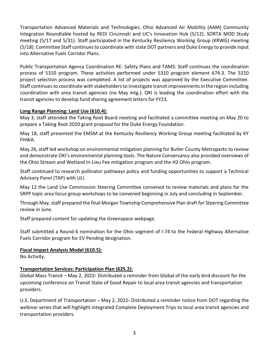### **EXECUTIVE COMMITTEE ACTIONS**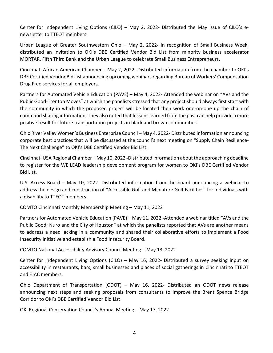## **TRANSPORTATION PLANNING PROGRESS REPORT**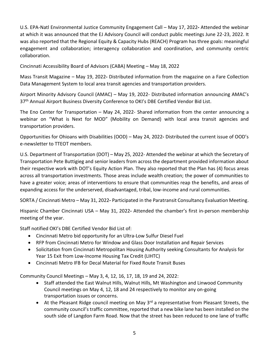#### **TRANSPORTATION PLANNING PROGRESS REPORT**

#### **MAY 2022**

#### **Short Range Planning (601)**

Staff continued to help communities learn more about Transportation Alternative options and funding mechanisms.

Staff attended the field review for Cincinnati's Dutch Colony Sidewalk project. The project was reviewed and milestones were set.

#### **Transportation Improvement Program (602)**

During May, staff monitored, and updated highway and transit project information included in the OKI FY21-24 TIP. A TIP Administrative Modification and TIP Amendment were presented to the ICC on May 10<sup>th</sup>. The TIP Amendment was approved by the OKI Executive Committee on May 12<sup>th</sup>. A draft TIP Administrative Modification and TIP Amendment were prepared for the June Intermodal Coordinating Committee and Board of Directors meetings. Staff participated in the Kenton County Quarterly Project Review meeting on May 17<sup>th</sup>.

#### **Surveillance (605.1)**

Staff continued to review the OKI TAZ polygon file system.

Staff began to review the Fall 2021 Household Survey data.

Staff continued monitoring and quality control of ORBCS system traffic counts.

Staff continued updating Traffic Count Database with recent traffic count data for the OKI region.

Staff continued developing framework for Traffic Count Database and ORBCS with updates to the ORBCS

database stored procedures for data processing and reporting.

Staff conducted field recon and validated traffic counts from Clay Wade Bailey Bridge Radar.

Staff generated traffic growth estimates on KY 237 between US 42 and KY 536 for KYTC.

Staff continued work on the traffic forecast for the I-275/Kellogg Ave interchange study.

Continued to clean QCEW and Data Axle employment data, collected census employment data for the regional socioeconomic database and use in OKI's Travel Demand Model.

Staff continued development of a tree canopy layer for Butler County.

Staff completed street centerline updates for Boone County & Kenton County.

Staff began street centerline updates for Dearborn County.

Staff began updating the regional address point layer.

Staff updated the EV charging station layer.

Staff continued updating layers for the OKI Bike Route Guide.

Staff began work on a deep learning model for extracting school zones from aerial imagery.

Staff continued development of a Safety Analyst application for reporting safety performance measures along functionally classified routes in the OKI region.

Staff continued updating critical infrastructure datasets.

Staff continued development of a framework to perform a safety analysis of the regional road network by utilizing the Highway Safety Manual.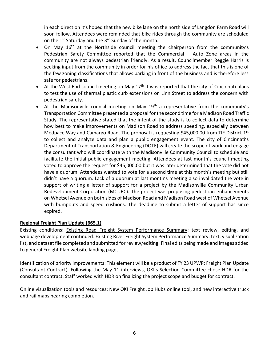#### **Security & Emergency Response (605.6)**

Staff performed monthly system checks on the RAVEN911 system.

Staff updated the ArcGIS Server security token for the RAVEN911 site.

Staff updated RAVEN911 e-mail security protocols.

#### **Kentucky UAV Flights (605.7)**

Aerial videography UAV flights documenting the progress of the I-71/75 INFRA grant (Mt. Zion and KY-338 interchanges) and the Graves Road interchange on I-275 in Boone County. No flights were conducted in May.

#### **Long Range Planning: System Management (610.1)**

Transportation Performance Measures: Staff continues to monitor the OKI Performance Measures. The 5310 Group Transit Asset Management (TAM) data was collected and processed.

Transportation Plan: No activity.

Coordination and Staff Development: Staff participated in the following meetings and activities: Bi-weekly household travel survey project team meetings; APA National Planning Conference (4/30-5/3); Butler County TID (5/9); FHWA System Performance Target-Setting Peer Exchange (5/9); Springdale Northland Blvd. project team (5/11, 5/16); Oakley 3 Oaks project (5/19); Staff presented at the ITE Ohio and KY chapter joint meeting (5/23); FHWA CAV webinar (5/24)

Urbanized area boundary: No activity.

Congestion Management: No activity on the CMP.

ITS Architecture: Staff continues to update the regional ITS Architecture and Strategic Plans.

Project development activities for future corridor or special studies: No activity.

Safety Planning: Staff completed initial analysis for new fine-grained analysis of crash data and rates. Refinement and peer review is in progress.

Project Level Traffic Forecasting: Provided growth factors to KYTC for KY-237 Study. I-275/Kellogg Avenue project forecasts completed.

Regional Freight Transportation and Economic Development Planning: OKI hosted, in-person and virtually, the bi-monthly CORBA RMA and the Inland Rivers Ports & Terminals Association's Ohio River Basin meetings (5/4). Ohio FAC leadership Teams meeting (5/17). CBT CRISI: Second CBT reimbursement approved by FRA (5/17).

Prioritization Process: Staff is responding to questions from applicants as part of the open call for STBG and TA funding.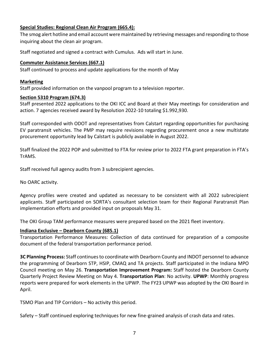Transportation Advanced Materials and Technologies: Ohio Advanced Air Mobility (AAM) Community Integration Roundtable hosted by REDI Cincinnati and UC's Innovation Hub (5/12). SORTA MOD Study meeting (5/17 and 5/31). Staff participated in the Kentucky Resiliency Working Group (KRWG) meeting (5/18). Committee Staff continues to coordinate with state DOT partners and Duke Energy to provide input into Alternative Fuels Corridor Plans.

Public Transportation Agency Coordination RE: Safety Plans and TAMS: Staff continues the coordination process of 5310 program. These activities performed under 5310 program element 674.3. The 5310 project selection process was completed. A list of projects was approved by the Executive Committee. Staff continues to coordinate with stakeholders to investigate transit improvements in the region including coordination with area transit agencies (no May mtg.). OKI is leading the coordination effort with the transit agencies to develop fund sharing agreement letters for FY23.

#### **Long Range Planning: Land Use (610.4):**

May 3, staff attended the Taking Root Board meeting and facilitated a committee meeting on May 20 to prepare a Taking Root 2020 grant proposal for the Duke Energy Foundation.

May 18, staff presented the EMSM at the Kentucky Resiliency Working Group meeting facilitated by KY FHWA.

May 26, staff led workshop on environmental mitigation planning for Butler County Metroparks to review and demonstrate OKI's environmental planning tools. The Nature Conservancy also provided overviews of the Ohio Stream and Wetland In-Lieu Fee mitigation program and the H2 Ohio program.

Staff continued to research pollinator pathways policy and funding opportunities to support a Technical Advisory Panel (TAP) with ULI.

May 12 the Land Use Commission Steering Committee convened to review materials and plans for the SRPP topic area focus group workshops to be convened beginning in July and concluding in September.

Through May, staff prepared the final Morgan Township Comprehensive Plan draft for Steering Committee review in June.

Staff prepared content for updating the Greenspace webpage.

Staff submitted a Round 6 nomination for the Ohio segment of I-74 to the Federal Highway Alternative Fuels Corridor program for EV Pending designation.

#### **Fiscal Impact Analysis Model (610.5):**

No Activity.

#### **Transportation Services: Participation Plan (625.2):**

Global Mass Transit – May 2, 2022**-** Distributed a reminder from Global of the early bird discount for the upcoming conference on Transit State of Good Repair to local area transit agencies and transportation providers.

U.S. Department of Transportation – May 2, 2022**-** Distributed a reminder notice from DOT regarding the webinar series that will highlight integrated Complete Deployment Trips to local area transit agencies and transportation providers.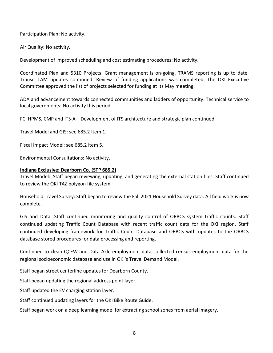Center for Independent Living Options (CILO) – May 2, 2022**-** Distributed the May issue of CILO's enewsletter to TTEOT members.

Urban League of Greater Southwestern Ohio – May 2, 2022**-** In recognition of Small Business Week, distributed an invitation to OKI's DBE Certified Vendor Bid List from minority business accelerator MORTAR, Fifth Third Bank and the Urban League to celebrate Small Business Entrepreneurs.

Cincinnati African American Chamber – May 2, 2022**-** Distributed information from the chamber to OKI's DBE Certified Vendor Bid List announcing upcoming webinars regarding Bureau of Workers' Compensation Drug Free services for all employers.

Partners for Automated Vehicle Education (PAVE) – May 4, 2022**-** Attended the webinar on "AVs and the Public Good-Trenton Moves" at which the panelists stressed that any project should always first start with the community in which the proposed project will be located then work one-on-one up the chain of command sharing information. They also noted that lessons learned from the past can help provide a more positive result for future transportation projects in black and brown communities.

Ohio River Valley Women's Business Enterprise Council – May 4, 2022**-** Distributed information announcing corporate best practices that will be discussed at the council's next meeting on "Supply Chain Resilience-The Next Challenge" to OKI's DBE Certified Vendor Bid List.

Cincinnati USA Regional Chamber – May 10, 2022 **-**Distributed information about the approaching deadline to register for the WE LEAD leadership development program for women to OKI's DBE Certified Vendor Bid List.

U.S. Access Board – May 10, 2022**-** Distributed information from the board announcing a webinar to address the design and construction of "Accessible Golf and Miniature Golf Facilities" for individuals with a disability to TTEOT members.

COMTO Cincinnati Monthly Membership Meeting – May 11, 2022

Partners for Automated Vehicle Education (PAVE) – May 11, 2022 **-**Attended a webinar titled "AVs and the Public Good: Nuro and the City of Houston" at which the panelists reported that AVs are another means to address a need lacking in a community and shared their collaborative efforts to implement a Food Insecurity Initiative and establish a Food Insecurity Board.

COMTO National Accessibility Advisory Council Meeting – May 13, 2022

Center for Independent Living Options (CILO) – May 16, 2022**-** Distributed a survey seeking input on accessibility in restaurants, bars, small businesses and places of social gatherings in Cincinnati to TTEOT and EJAC members.

Ohio Department of Transportation (ODOT) – May 16, 2022**-** Distributed an ODOT news release announcing next steps and seeking proposals from consultants to improve the Brent Spence Bridge Corridor to OKI's DBE Certified Vendor Bid List.

OKI Regional Conservation Council's Annual Meeting – May 17, 2022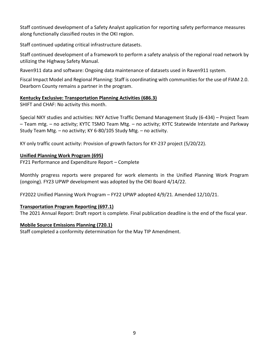U.S. EPA-Natl Environmental Justice Community Engagement Call – May 17, 2022**-** Attended the webinar at which it was announced that the EJ Advisory Council will conduct public meetings June 22-23, 2022. It was also reported that the Regional Equity & Capacity Hubs (REACH) Program has three goals: meaningful engagement and collaboration; interagency collaboration and coordination, and community centric collaboration.

Cincinnati Accessibility Board of Advisors (CABA) Meeting – May 18, 2022

Mass Transit Magazine – May 19, 2022**-** Distributed information from the magazine on a Fare Collection Data Management System to local area transit agencies and transportation providers.

Airport Minority Advisory Council (AMAC) – May 19, 2022- Distributed information announcing AMAC's 37<sup>th</sup> Annual Airport Business Diversity Conference to OKI's DBE Certified Vendor Bid List.

The Eno Center for Transportation – May 24, 2022- Shared information from the center announcing a webinar on "What is Next for MOD" (Mobility on Demand) with local area transit agencies and transportation providers.

Opportunities for Ohioans with Disabilities (OOD) – May 24, 2022**-** Distributed the current issue of OOD's e-newsletter to TTEOT members.

U.S. Department of Transportation (DOT) – May 25, 2022- Attended the webinar at which the Secretary of Transportation Pete Buttigieg and senior leaders from across the department provided information about their respective work with DOT's Equity Action Plan. They also reported that the Plan has (4) focus areas across all transportation investments. Those areas include wealth creation; the power of communities to have a greater voice; areas of interventions to ensure that communities reap the benefits, and areas of expanding access for the underserved, disadvantaged, tribal, low-income and rural communities.

SORTA / Cincinnati Metro – May 31, 2022**-** Participated in the Paratransit Consultancy Evaluation Meeting.

Hispanic Chamber Cincinnati USA – May 31, 2022**-** Attended the chamber's first in-person membership meeting of the year.

Staff notified OKI's DBE Certified Vendor Bid List of:

- Cincinnati Metro bid opportunity for an Ultra-Low Sulfur Diesel Fuel
- RFP from Cincinnati Metro for Window and Glass Door Installation and Repair Services
- Solicitation from Cincinnati Metropolitan Housing Authority seeking Consultants for Analysis for Year 15 Exit from Low-Income Housing Tax Credit (LIHTC)
- Cincinnati Metro IFB for Decal Material for Fixed Route Transit Buses

Community Council Meetings – May 3, 4, 12, 16, 17, 18, 19 and 24, 2022:

- Staff attended the East Walnut Hills, Walnut Hills, Mt Washington and Linwood Community Council meetings on May 4, 12, 18 and 24 respectively to monitor any on-going transportation issues or concerns.
- At the Pleasant Ridge council meeting on May  $3^{rd}$  a representative from Pleasant Streets, the community council's traffic committee, reported that a new bike lane has been installed on the south side of Langdon Farm Road. Now that the street has been reduced to one lane of traffic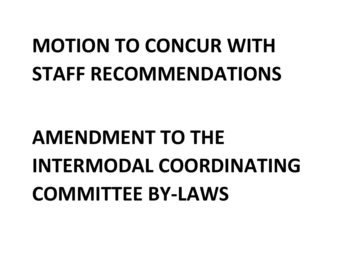in each direction it's hoped that the new bike lane on the north side of Langdon Farm Road will soon follow. Attendees were reminded that bike rides through the community are scheduled on the 1<sup>st</sup> Saturday and the 3<sup>rd</sup> Sunday of the month.

- On May 16<sup>th</sup> at the Northside council meeting the chairperson from the community's Pedestrian Safety Committee reported that the Commercial – Auto Zone areas in the community are not always pedestrian friendly. As a result, Councilmember Reggie Harris is seeking input from the community in order for his office to address the fact that this is one of the few zoning classifications that allows parking in front of the business and is therefore less safe for pedestrians.
- At the West End council meeting on May  $17<sup>th</sup>$  it was reported that the city of Cincinnati plans to test the use of thermal plastic curb extensions on Linn Street to address the concern with pedestrian safety.
- At the Madisonville council meeting on May 19<sup>th</sup> a representative from the community's Transportation Committee presented a proposal for the second time for a Madison Road Traffic Study. The representative stated that the intent of the study is to collect data to determine how best to make improvements on Madison Road to address speeding, especially between Medpace Way and Camargo Road. The proposal is requesting \$45,000.00 from TIF District 19 to collect and analyze data and plan a public engagement event. The city of Cincinnati's Department of Transportation & Engineering (DOTE) will create the scope of work and engage the consultant who will coordinate with the Madisonville Community Council to schedule and facilitate the initial public engagement meeting. Attendees at last month's council meeting voted to approve the request for \$45,000.00 but it was later determined that the vote did not have a quorum. Attendees wanted to vote for a second time at this month's meeting but still didn't have a quorum. Lack of a quorum at last month's meeting also invalidated the vote in support of writing a letter of support for a project by the Madisonville Community Urban Redevelopment Corporation (MCURC). The project was proposing pedestrian enhancements on Whetsel Avenue on both sides of Madison Road and Madison Road west of Whetsel Avenue with bumpouts and speed cushions. The deadline to submit a letter of support has since expired.

#### **Regional Freight Plan Update (665.1)**

Existing conditions: Existing Road Freight System Performance Summary: text review, editing, and webpage development continued. Existing River Freight System Performance Summary: text, visualization list, and dataset file completed and submitted for review/editing. Final edits being made and images added to general Freight Plan website landing pages.

Identification of priority improvements: This element will be a product of FY 23 UPWP: Freight Plan Update (Consultant Contract). Following the May 11 interviews, OKI's Selection Committee chose HDR for the consultant contract. Staff worked with HDR on finalizing the project scope and budget for contract.

Online visualization tools and resources: New OKI Freight Job Hubs online tool, and new interactive truck and rail maps nearing completion.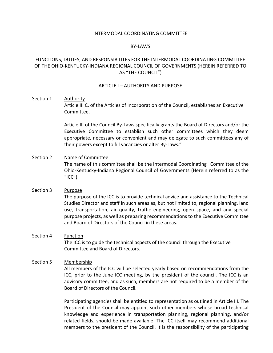#### **Special Studies: Regional Clean Air Program (665.4):**

The smog alert hotline and email account were maintained by retrieving messages and responding to those inquiring about the clean air program.

Staff negotiated and signed a contract with Cumulus. Ads will start in June.

#### **Commuter Assistance Services (667.1)**

Staff continued to process and update applications for the month of May

#### **Marketing**

Staff provided information on the vanpool program to a television reporter.

#### **Section 5310 Program (674.3)**

Staff presented 2022 applications to the OKI ICC and Board at their May meetings for consideration and action. 7 agencies received award by Resolution 2022-10 totaling \$1.992,930.

Staff corresponded with ODOT and representatives from Calstart regarding opportunities for purchasing EV paratransit vehicles. The PMP may require revisions regarding procurement once a new multistate procurement opportunity lead by Calstart is publicly available in August 2022.

Staff finalized the 2022 POP and submitted to FTA for review prior to 2022 FTA grant preparation in FTA's TrAMS.

Staff received full agency audits from 3 subrecipient agencies.

No OARC activity.

Agency profiles were created and updated as necessary to be consistent with all 2022 subrecipient applicants. Staff participated on SORTA's consultant selection team for their Regional Paratransit Plan implementation efforts and provided input on proposals May 31.

The OKI Group TAM performance measures were prepared based on the 2021 fleet inventory.

#### **Indiana Exclusive – Dearborn County (685.1)**

Transportation Performance Measures: Collection of data continued for preparation of a composite document of the federal transportation performance period.

**3C Planning Process:** Staff continues to coordinate with Dearborn County and INDOT personnel to advance the programming of Dearborn STP, HSIP, CMAQ and TA projects. Staff participated in the Indiana MPO Council meeting on May 26. **Transportation Improvement Program:** Staff hosted the Dearborn County Quarterly Project Review Meeting on May 4. **Transportation Plan**: No activity. **UPWP**: Monthly progress reports were prepared for work elements in the UPWP. The FY23 UPWP was adopted by the OKI Board in April.

TSMO Plan and TIP Corridors – No activity this period.

Safety – Staff continued exploring techniques for new fine-grained analysis of crash data and rates.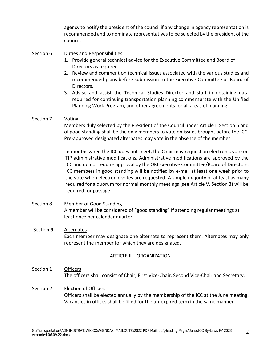Participation Plan: No activity.

Air Quality: No activity.

Development of improved scheduling and cost estimating procedures: No activity.

Coordinated Plan and 5310 Projects: Grant management is on-going. TRAMS reporting is up to date. Transit TAM updates continued. Review of funding applications was completed. The OKI Executive Committee approved the list of projects selected for funding at its May meeting.

ADA and advancement towards connected communities and ladders of opportunity. Technical service to local governments: No activity this period.

FC, HPMS, CMP and ITS-A – Development of ITS architecture and strategic plan continued.

Travel Model and GIS: see 685.2 Item 1.

Fiscal Impact Model: see 685.2 item 5.

Environmental Consultations: No activity.

#### **Indiana Exclusive: Dearborn Co. (STP 685.2)**

Travel Model: Staff began reviewing, updating, and generating the external station files. Staff continued to review the OKI TAZ polygon file system.

Household Travel Survey: Staff began to review the Fall 2021 Household Survey data. All field work is now complete.

GIS and Data: Staff continued monitoring and quality control of ORBCS system traffic counts. Staff continued updating Traffic Count Database with recent traffic count data for the OKI region. Staff continued developing framework for Traffic Count Database and ORBCS with updates to the ORBCS database stored procedures for data processing and reporting.

Continued to clean QCEW and Data Axle employment data, collected census employment data for the regional socioeconomic database and use in OKI's Travel Demand Model.

Staff began street centerline updates for Dearborn County.

Staff began updating the regional address point layer.

Staff updated the EV charging station layer.

Staff continued updating layers for the OKI Bike Route Guide.

Staff began work on a deep learning model for extracting school zones from aerial imagery.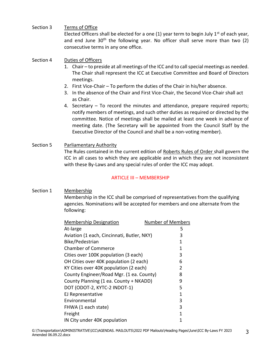Staff continued development of a Safety Analyst application for reporting safety performance measures along functionally classified routes in the OKI region.

Staff continued updating critical infrastructure datasets.

Staff continued development of a framework to perform a safety analysis of the regional road network by utilizing the Highway Safety Manual.

Raven911 data and software: Ongoing data maintenance of datasets used in Raven911 system.

Fiscal Impact Model and Regional Planning: Staff is coordinating with communities for the use of FIAM 2.0. Dearborn County remains a partner in the program.

#### **Kentucky Exclusive: Transportation Planning Activities (686.3)**

SHIFT and CHAF: No activity this month.

Special NKY studies and activities: NKY Active Traffic Demand Management Study (6-434) – Project Team – Team mtg. – no activity; KYTC TSMO Team Mtg. – no activity; KYTC Statewide Interstate and Parkway Study Team Mtg. – no activity; KY 6-80/105 Study Mtg. – no activity.

KY only traffic count activity: Provision of growth factors for KY-237 project (5/20/22).

#### **Unified Planning Work Program (695)**

FY21 Performance and Expenditure Report – Complete

Monthly progress reports were prepared for work elements in the Unified Planning Work Program (ongoing). FY23 UPWP development was adopted by the OKI Board 4/14/22.

FY2022 Unified Planning Work Program – FY22 UPWP adopted 4/9/21. Amended 12/10/21.

#### **Transportation Program Reporting (697.1)**

The 2021 Annual Report: Draft report is complete. Final publication deadline is the end of the fiscal year.

#### **Mobile Source Emissions Planning (720.1)**

Staff completed a conformity determination for the May TIP Amendment.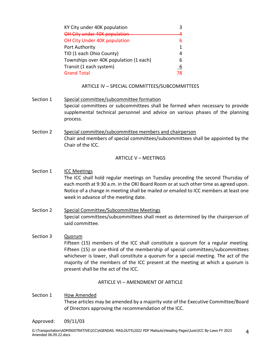## **MOTION TO CONCUR WITH STAFF RECOMMENDATIONS**

# **AMENDMENT TO THE INTERMODAL COORDINATING COMMITTEE BY-LAWS**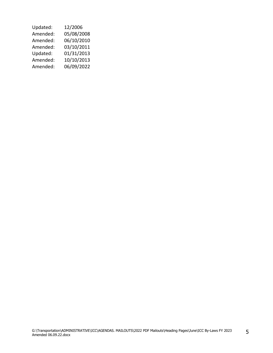#### INTERMODAL COORDINATING COMMITTEE

#### BY-LAWS

#### FUNCTIONS, DUTIES, AND RESPONSIBILITES FOR THE INTERMODAL COORDINATING COMMITTEE OF THE OHIO-KENTUCKY-INDIANA REGIONAL COUNCIL OF GOVERNMENTS (HEREIN REFERRED TO AS "THE COUNCIL")

#### ARTICLE I – AUTHORITY AND PURPOSE

#### Section 1 Authority

Article III C, of the Articles of Incorporation of the Council, establishes an Executive Committee.

Article III of the Council By-Laws specifically grants the Board of Directors and/or the Executive Committee to establish such other committees which they deem appropriate, necessary or convenient and may delegate to such committees any of their powers except to fill vacancies or alter By-Laws."

#### Section 2 Name of Committee The name of this committee shall be the Intermodal Coordinating Committee of the Ohio-Kentucky-Indiana Regional Council of Governments (Herein referred to as the " $ICC$ ").

#### Section 3 Purpose The purpose of the ICC is to provide technical advice and assistance to the Technical Studies Director and staff in such areas as, but not limited to, regional planning, land use, transportation, air quality, traffic engineering, open space, and any special purpose projects, as well as preparing recommendations to the Executive Committee and Board of Directors of the Council in these areas.

#### Section 4 Function The ICC is to guide the technical aspects of the council through the Executive Committee and Board of Directors.

#### Section 5 Membership

All members of the ICC will be selected yearly based on recommendations from the ICC, prior to the June ICC meeting, by the president of the council. The ICC is an advisory committee, and as such, members are not required to be a member of the Board of Directors of the Council.

Participating agencies shall be entitled to representation as outlined in Article III. The President of the Council may appoint such other members whose broad technical knowledge and experience in transportation planning, regional planning, and/or related fields, should be made available. The ICC itself may recommend additional members to the president of the Council. It is the responsibility of the participating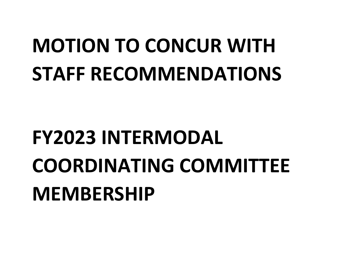agency to notify the president of the council if any change in agency representation is recommended and to nominate representatives to be selected by the president of the council.

#### Section 6 Duties and Responsibilities

- 1. Provide general technical advice for the Executive Committee and Board of Directors as required.
- 2. Review and comment on technical issues associated with the various studies and recommended plans before submission to the Executive Committee or Board of Directors.
- 3. Advise and assist the Technical Studies Director and staff in obtaining data required for continuing transportation planning commensurate with the Unified Planning Work Program, and other agreements for all areas of planning.

#### Section 7 Voting

Members duly selected by the President of the Council under Article I, Section 5 and of good standing shall be the only members to vote on issues brought before the ICC. Pre-approved designated alternates may vote in the absence of the member.

In months when the ICC does not meet, the Chair may request an electronic vote on TIP administrative modifications. Administrative modifications are approved by the ICC and do not require approval by the OKI Executive Committee/Board of Directors. ICC members in good standing will be notified by e-mail at least one week prior to the vote when electronic votes are requested. A simple majority of at least as many required for a quorum for normal monthly meetings (see Article V, Section 3) will be required for passage.

#### Section 8 Member of Good Standing A member will be considered of "good standing" if attending regular meetings at least once per calendar quarter.

#### Section 9 Alternates

Each member may designate one alternate to represent them. Alternates may only represent the member for which they are designated.

#### ARTICLE II – ORGANIZATION

Section 1 Officers The officers shall consist of Chair, First Vice-Chair, Second Vice-Chair and Secretary.

#### Section 2 Election of Officers Officers shall be elected annually by the membership of the ICC at the June meeting. Vacancies in offices shall be filled for the un-expired term in the same manner.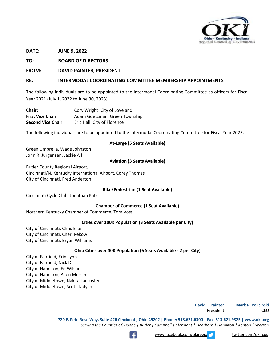Section 3 Terms of Office

Elected Officers shall be elected for a one  $(1)$  year term to begin July 1<sup>st</sup> of each year, and end June  $30<sup>th</sup>$  the following year. No officer shall serve more than two (2) consecutive terms in any one office.

#### Section 4 Duties of Officers

- 1. Chair to preside at all meetings of the ICC and to call special meetings as needed. The Chair shall represent the ICC at Executive Committee and Board of Directors meetings.
- 2. First Vice-Chair To perform the duties of the Chair in his/her absence.
- 3. In the absence of the Chair and First Vice-Chair, the Second Vice-Chair shall act as Chair.
- 4. Secretary To record the minutes and attendance, prepare required reports; notify members of meetings, and such other duties as required or directed by the committee. Notice of meetings shall be mailed at least one week in advance of meeting date. (The Secretary will be appointed from the Council Staff by the Executive Director of the Council and shall be a non-voting member).
- Section 5 Parliamentary Authority The Rules contained in the current edition of Roberts Rules of Order shall govern the ICC in all cases to which they are applicable and in which they are not inconsistent with these By-Laws and any special rules of order the ICC may adopt.

#### ARTICLE III – MEMBERSHIP

Section 1 Membership Membership in the ICC shall be comprised of representatives from the qualifying agencies. Nominations will be accepted for members and one alternate from the following:

| <b>Membership Designation</b>              | <b>Number of Members</b> |
|--------------------------------------------|--------------------------|
| At-large                                   | 5                        |
| Aviation (1 each, Cincinnati, Butler, NKY) | 3                        |
| Bike/Pedestrian                            | 1                        |
| <b>Chamber of Commerce</b>                 | 1                        |
| Cities over 100K population (3 each)       | 3                        |
| OH Cities over 40K population (2 each)     | 6                        |
| KY Cities over 40K population (2 each)     | 2                        |
| County Engineer/Road Mgr. (1 ea. County)   | 8                        |
| County Planning (1 ea. County + NKADD)     | 9                        |
| DOT (ODOT-2, KYTC-2 INDOT-1)               | 5                        |
| EJ Representative                          | 1                        |
| Environmental                              | 3                        |
| FHWA (1 each state)                        | 3                        |
| Freight                                    | 1                        |
| IN City under 40K population               | 1                        |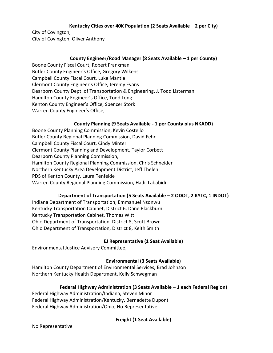| KY City under 40K population           |  |
|----------------------------------------|--|
| OH City under 40K population           |  |
| OH City Under 40K population           |  |
| Port Authority                         |  |
| TID (1 each Ohio County)               |  |
| Townships over 40K population (1 each) |  |
| Transit (1 each system)                |  |
| <b>Grand Total</b>                     |  |

#### ARTICLE IV – SPECIAL COMMITTEES/SUBCOMMITTEES

- Section 1 Special committee/subcommittee formation Special committees or subcommittees shall be formed when necessary to provide supplemental technical personnel and advice on various phases of the planning process.
- Section 2 Special committee/subcommittee members and chairperson Chair and members of special committees/subcommittees shall be appointed by the Chair of the ICC.

#### ARTICLE V – MEETINGS

- Section 1 ICC Meetings The ICC shall hold regular meetings on Tuesday preceding the second Thursday of each month at 9:30 a.m. in the OKI Board Room or at such other time as agreed upon. Notice of a change in meeting shall be mailed or emailed to ICC members at least one week in advance of the meeting date.
- Section 2 Special Committee/Subcommittee Meetings Special committees/subcommittees shall meet as determined by the chairperson of said committee.
- Section 3 Quorum Fifteen (15) members of the ICC shall constitute a quorum for a regular meeting. Fifteen (15) or one-third of the membership of special committees/subcommittees whichever is lower, shall constitute a quorum for a special meeting. The act of the majority of the members of the ICC present at the meeting at which a quorum is present shall be the act of the ICC.

#### ARTICLE VI – AMENDMENT OF ARTICLE

Section 1 How Amended These articles may be amended by a majority vote of the Executive Committee/Board of Directors approving the recommendation of the ICC.

Approved: 09/11/03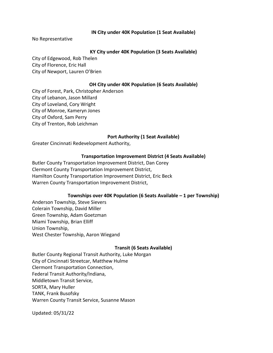| Updated: | 12/2006    |
|----------|------------|
| Amended: | 05/08/2008 |
| Amended: | 06/10/2010 |
| Amended: | 03/10/2011 |
| Updated: | 01/31/2013 |
| Amended: | 10/10/2013 |
| Amended: | 06/09/2022 |
|          |            |